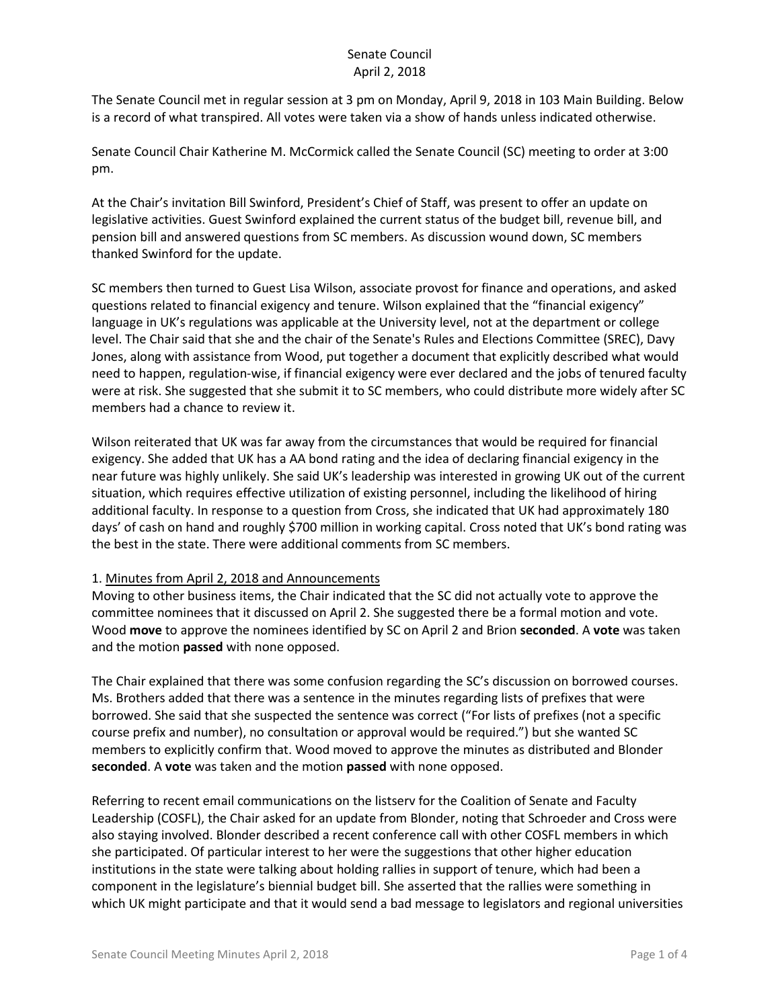The Senate Council met in regular session at 3 pm on Monday, April 9, 2018 in 103 Main Building. Below is a record of what transpired. All votes were taken via a show of hands unless indicated otherwise.

Senate Council Chair Katherine M. McCormick called the Senate Council (SC) meeting to order at 3:00 pm.

At the Chair's invitation Bill Swinford, President's Chief of Staff, was present to offer an update on legislative activities. Guest Swinford explained the current status of the budget bill, revenue bill, and pension bill and answered questions from SC members. As discussion wound down, SC members thanked Swinford for the update.

SC members then turned to Guest Lisa Wilson, associate provost for finance and operations, and asked questions related to financial exigency and tenure. Wilson explained that the "financial exigency" language in UK's regulations was applicable at the University level, not at the department or college level. The Chair said that she and the chair of the Senate's Rules and Elections Committee (SREC), Davy Jones, along with assistance from Wood, put together a document that explicitly described what would need to happen, regulation-wise, if financial exigency were ever declared and the jobs of tenured faculty were at risk. She suggested that she submit it to SC members, who could distribute more widely after SC members had a chance to review it.

Wilson reiterated that UK was far away from the circumstances that would be required for financial exigency. She added that UK has a AA bond rating and the idea of declaring financial exigency in the near future was highly unlikely. She said UK's leadership was interested in growing UK out of the current situation, which requires effective utilization of existing personnel, including the likelihood of hiring additional faculty. In response to a question from Cross, she indicated that UK had approximately 180 days' of cash on hand and roughly \$700 million in working capital. Cross noted that UK's bond rating was the best in the state. There were additional comments from SC members.

### 1. Minutes from April 2, 2018 and Announcements

Moving to other business items, the Chair indicated that the SC did not actually vote to approve the committee nominees that it discussed on April 2. She suggested there be a formal motion and vote. Wood **move** to approve the nominees identified by SC on April 2 and Brion **seconded**. A **vote** was taken and the motion **passed** with none opposed.

The Chair explained that there was some confusion regarding the SC's discussion on borrowed courses. Ms. Brothers added that there was a sentence in the minutes regarding lists of prefixes that were borrowed. She said that she suspected the sentence was correct ("For lists of prefixes (not a specific course prefix and number), no consultation or approval would be required.") but she wanted SC members to explicitly confirm that. Wood moved to approve the minutes as distributed and Blonder **seconded**. A **vote** was taken and the motion **passed** with none opposed.

Referring to recent email communications on the listserv for the Coalition of Senate and Faculty Leadership (COSFL), the Chair asked for an update from Blonder, noting that Schroeder and Cross were also staying involved. Blonder described a recent conference call with other COSFL members in which she participated. Of particular interest to her were the suggestions that other higher education institutions in the state were talking about holding rallies in support of tenure, which had been a component in the legislature's biennial budget bill. She asserted that the rallies were something in which UK might participate and that it would send a bad message to legislators and regional universities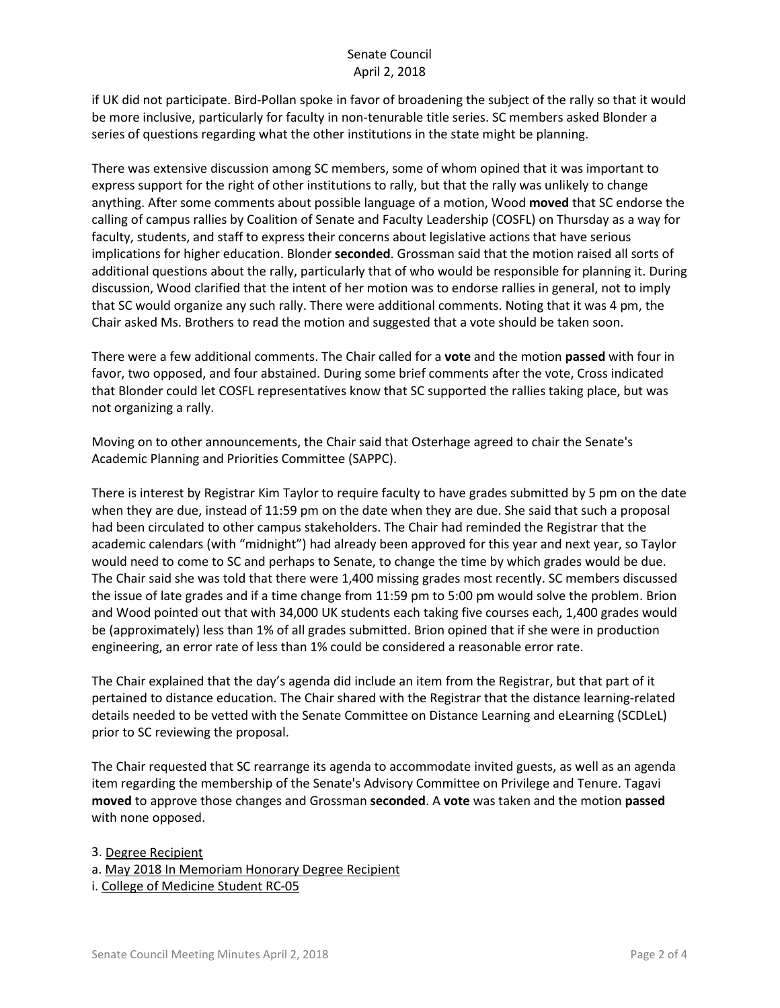if UK did not participate. Bird-Pollan spoke in favor of broadening the subject of the rally so that it would be more inclusive, particularly for faculty in non-tenurable title series. SC members asked Blonder a series of questions regarding what the other institutions in the state might be planning.

There was extensive discussion among SC members, some of whom opined that it was important to express support for the right of other institutions to rally, but that the rally was unlikely to change anything. After some comments about possible language of a motion, Wood **moved** that SC endorse the calling of campus rallies by Coalition of Senate and Faculty Leadership (COSFL) on Thursday as a way for faculty, students, and staff to express their concerns about legislative actions that have serious implications for higher education. Blonder **seconded**. Grossman said that the motion raised all sorts of additional questions about the rally, particularly that of who would be responsible for planning it. During discussion, Wood clarified that the intent of her motion was to endorse rallies in general, not to imply that SC would organize any such rally. There were additional comments. Noting that it was 4 pm, the Chair asked Ms. Brothers to read the motion and suggested that a vote should be taken soon.

There were a few additional comments. The Chair called for a **vote** and the motion **passed** with four in favor, two opposed, and four abstained. During some brief comments after the vote, Cross indicated that Blonder could let COSFL representatives know that SC supported the rallies taking place, but was not organizing a rally.

Moving on to other announcements, the Chair said that Osterhage agreed to chair the Senate's Academic Planning and Priorities Committee (SAPPC).

There is interest by Registrar Kim Taylor to require faculty to have grades submitted by 5 pm on the date when they are due, instead of 11:59 pm on the date when they are due. She said that such a proposal had been circulated to other campus stakeholders. The Chair had reminded the Registrar that the academic calendars (with "midnight") had already been approved for this year and next year, so Taylor would need to come to SC and perhaps to Senate, to change the time by which grades would be due. The Chair said she was told that there were 1,400 missing grades most recently. SC members discussed the issue of late grades and if a time change from 11:59 pm to 5:00 pm would solve the problem. Brion and Wood pointed out that with 34,000 UK students each taking five courses each, 1,400 grades would be (approximately) less than 1% of all grades submitted. Brion opined that if she were in production engineering, an error rate of less than 1% could be considered a reasonable error rate.

The Chair explained that the day's agenda did include an item from the Registrar, but that part of it pertained to distance education. The Chair shared with the Registrar that the distance learning-related details needed to be vetted with the Senate Committee on Distance Learning and eLearning (SCDLeL) prior to SC reviewing the proposal.

The Chair requested that SC rearrange its agenda to accommodate invited guests, as well as an agenda item regarding the membership of the Senate's Advisory Committee on Privilege and Tenure. Tagavi **moved** to approve those changes and Grossman **seconded**. A **vote** was taken and the motion **passed** with none opposed.

3. Degree Recipient

a. May 2018 In Memoriam Honorary Degree Recipient

i. College of Medicine Student RC-05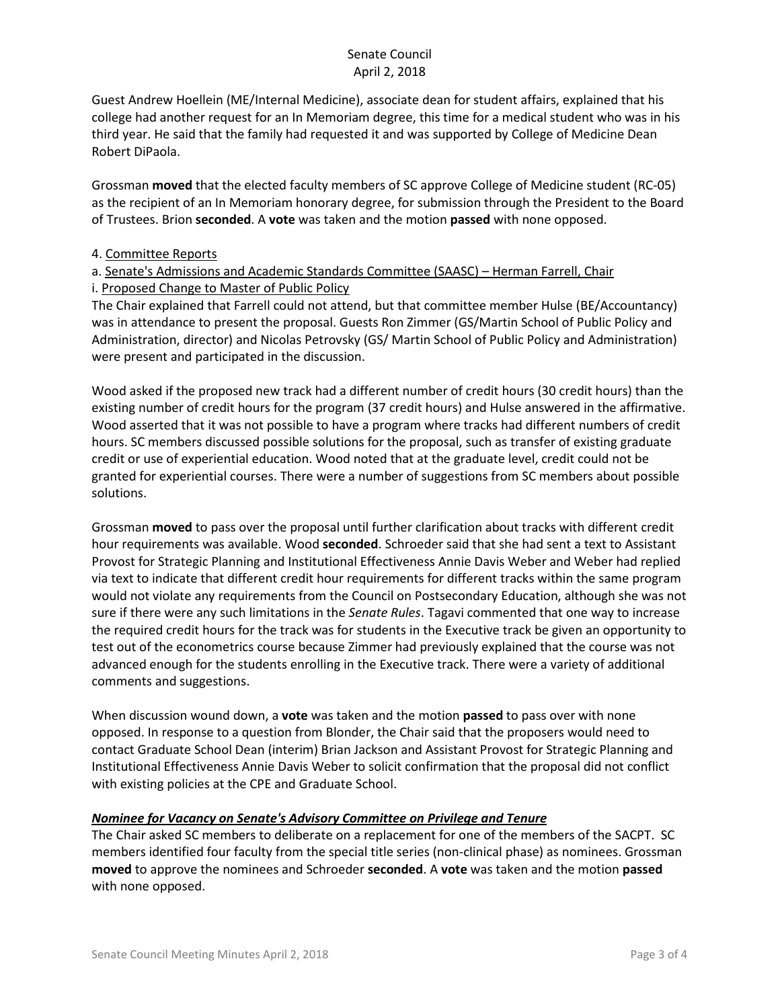Guest Andrew Hoellein (ME/Internal Medicine), associate dean for student affairs, explained that his college had another request for an In Memoriam degree, this time for a medical student who was in his third year. He said that the family had requested it and was supported by College of Medicine Dean Robert DiPaola.

Grossman **moved** that the elected faculty members of SC approve College of Medicine student (RC-05) as the recipient of an In Memoriam honorary degree, for submission through the President to the Board of Trustees. Brion **seconded**. A **vote** was taken and the motion **passed** with none opposed.

#### 4. Committee Reports

## a. Senate's Admissions and Academic Standards Committee (SAASC) – Herman Farrell, Chair i. Proposed Change to Master of Public Policy

The Chair explained that Farrell could not attend, but that committee member Hulse (BE/Accountancy) was in attendance to present the proposal. Guests Ron Zimmer (GS/Martin School of Public Policy and Administration, director) and Nicolas Petrovsky (GS/ Martin School of Public Policy and Administration) were present and participated in the discussion.

Wood asked if the proposed new track had a different number of credit hours (30 credit hours) than the existing number of credit hours for the program (37 credit hours) and Hulse answered in the affirmative. Wood asserted that it was not possible to have a program where tracks had different numbers of credit hours. SC members discussed possible solutions for the proposal, such as transfer of existing graduate credit or use of experiential education. Wood noted that at the graduate level, credit could not be granted for experiential courses. There were a number of suggestions from SC members about possible solutions.

Grossman **moved** to pass over the proposal until further clarification about tracks with different credit hour requirements was available. Wood **seconded**. Schroeder said that she had sent a text to Assistant Provost for Strategic Planning and Institutional Effectiveness Annie Davis Weber and Weber had replied via text to indicate that different credit hour requirements for different tracks within the same program would not violate any requirements from the Council on Postsecondary Education, although she was not sure if there were any such limitations in the *Senate Rules*. Tagavi commented that one way to increase the required credit hours for the track was for students in the Executive track be given an opportunity to test out of the econometrics course because Zimmer had previously explained that the course was not advanced enough for the students enrolling in the Executive track. There were a variety of additional comments and suggestions.

When discussion wound down, a **vote** was taken and the motion **passed** to pass over with none opposed. In response to a question from Blonder, the Chair said that the proposers would need to contact Graduate School Dean (interim) Brian Jackson and Assistant Provost for Strategic Planning and Institutional Effectiveness Annie Davis Weber to solicit confirmation that the proposal did not conflict with existing policies at the CPE and Graduate School.

### *Nominee for Vacancy on Senate's Advisory Committee on Privilege and Tenure*

The Chair asked SC members to deliberate on a replacement for one of the members of the SACPT. SC members identified four faculty from the special title series (non-clinical phase) as nominees. Grossman **moved** to approve the nominees and Schroeder **seconded**. A **vote** was taken and the motion **passed** with none opposed.